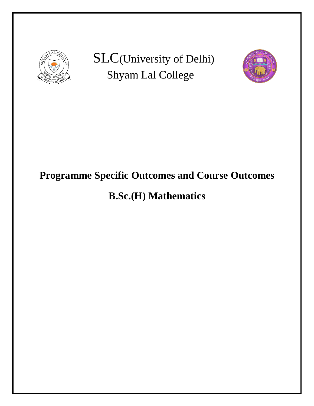

SLC(University of Delhi) Shyam Lal College



# **Programme Specific Outcomes and Course Outcomes**

# **B.Sc.(H) Mathematics**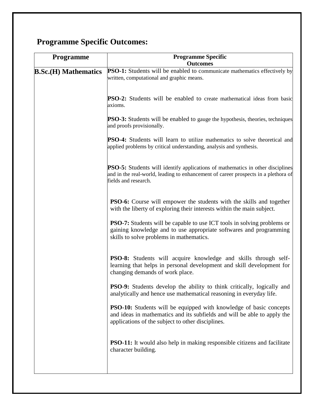## **Programme Specific Outcomes:**

| <b>Outcomes</b><br>PSO-1: Students will be enabled to communicate mathematics effectively by<br>written, computational and graphic means.                                                                  |
|------------------------------------------------------------------------------------------------------------------------------------------------------------------------------------------------------------|
|                                                                                                                                                                                                            |
| <b>PSO-2:</b> Students will be enabled to create mathematical ideas from basic<br>axioms.                                                                                                                  |
| <b>PSO-3:</b> Students will be enabled to gauge the hypothesis, theories, techniques<br>and proofs provisionally.                                                                                          |
| <b>PSO-4:</b> Students will learn to utilize mathematics to solve theoretical and<br>applied problems by critical understanding, analysis and synthesis.                                                   |
| <b>PSO-5:</b> Students will identify applications of mathematics in other disciplines<br>and in the real-world, leading to enhancement of career prospects in a plethora of<br>fields and research.        |
| <b>PSO-6:</b> Course will empower the students with the skills and together<br>with the liberty of exploring their interests within the main subject.                                                      |
| <b>PSO-7:</b> Students will be capable to use ICT tools in solving problems or<br>gaining knowledge and to use appropriate softwares and programming<br>skills to solve problems in mathematics.           |
| <b>PSO-8:</b> Students will acquire knowledge and skills through self-<br>learning that helps in personal development and skill development for<br>changing demands of work place.                         |
| <b>PSO-9:</b> Students develop the ability to think critically, logically and<br>analytically and hence use mathematical reasoning in everyday life.                                                       |
| <b>PSO-10:</b> Students will be equipped with knowledge of basic concepts<br>and ideas in mathematics and its subfields and will be able to apply the<br>applications of the subject to other disciplines. |
| <b>PSO-11:</b> It would also help in making responsible citizens and facilitate<br>character building.                                                                                                     |
|                                                                                                                                                                                                            |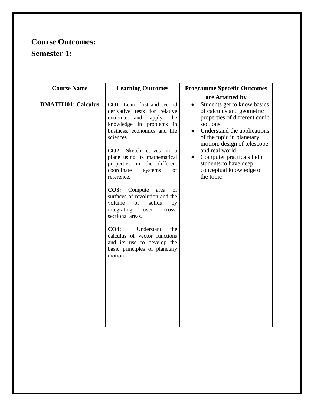### **Course Outcomes: Semester 1:**

| <b>Course Name</b>        | <b>Learning Outcomes</b>                                                                                                                                                                                                                                                                                                                                                                                                                                                                                                                                                                                          | <b>Programme Specefic Outcomes</b>                                                                                                                                                                                                                                                                                                           |
|---------------------------|-------------------------------------------------------------------------------------------------------------------------------------------------------------------------------------------------------------------------------------------------------------------------------------------------------------------------------------------------------------------------------------------------------------------------------------------------------------------------------------------------------------------------------------------------------------------------------------------------------------------|----------------------------------------------------------------------------------------------------------------------------------------------------------------------------------------------------------------------------------------------------------------------------------------------------------------------------------------------|
|                           |                                                                                                                                                                                                                                                                                                                                                                                                                                                                                                                                                                                                                   | are Attained by                                                                                                                                                                                                                                                                                                                              |
| <b>BMATH101: Calculus</b> | CO1: Learn first and second<br>derivative tests for relative<br>and<br>apply<br>the<br>extrema<br>knowledge in problems in<br>business, economics and life<br>sciences.<br>CO2: Sketch curves in a<br>plane using its mathematical<br>properties in the different<br>coordinate<br>systems<br>of<br>reference.<br>CO3: Compute<br>of<br>area<br>surfaces of revolution and the<br>of<br>volume<br>solids<br>by<br>integrating<br>cross-<br>over<br>sectional areas.<br><b>CO4:</b><br>Understand<br>the<br>calculus of vector functions<br>and its use to develop the<br>basic principles of planetary<br>motion. | Students get to know basics<br>$\bullet$<br>of calculus and geometric<br>properties of different conic<br>sections<br>• Understand the applications<br>of the topic in planetary<br>motion, design of telescope<br>and real world.<br>Computer practicals help<br>$\bullet$<br>students to have deep<br>conceptual knowledge of<br>the topic |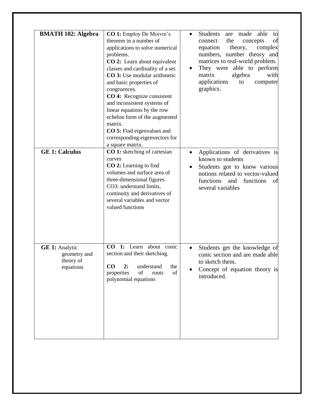| <b>BMATH 102: Algebra</b>                                       | <b>CO 1:</b> Employ De Moivre's<br>theorem in a number of<br>applications to solve numerical<br>problems.<br>CO 2: Learn about equivalent<br>classes and cardinality of a set.<br>CO 3: Use modular arithmetic<br>and basic properties of<br>congruences.<br>CO 4: Recognize consistent<br>and inconsistent systems of<br>linear equations by the row<br>echelon form of the augmented<br>matrix.<br><b>CO</b> 5: Find eigenvalues and<br>corresponding eigenvectors for<br>a square matrix. | Students<br>able<br>made<br>are<br>to<br>the<br>of<br>concepts<br>connect<br>equation<br>theory,<br>complex<br>numbers, number theory and<br>matrices to real-world problem.<br>They were able to perform<br>$\bullet$<br>matrix<br>algebra<br>with<br>applications<br>to<br>computer<br>graphics. |
|-----------------------------------------------------------------|----------------------------------------------------------------------------------------------------------------------------------------------------------------------------------------------------------------------------------------------------------------------------------------------------------------------------------------------------------------------------------------------------------------------------------------------------------------------------------------------|----------------------------------------------------------------------------------------------------------------------------------------------------------------------------------------------------------------------------------------------------------------------------------------------------|
| <b>GE 1: Calculus</b>                                           | CO 1: sketching of cartesian<br>curves<br><b>CO 2:</b> Learning to find<br>volumes and surface area of<br>three-dimensional figures<br>CO3: understand limits,<br>continuity and derivatives of<br>several variables and vector<br>valued functions                                                                                                                                                                                                                                          | Applications of derivatives is<br>known to students<br>Students got to know various<br>notions related to vector-valued<br>functions<br>functions<br>and<br>of<br>several variables                                                                                                                |
| <b>GE 1:</b> Analytic<br>geometry and<br>theory of<br>equations | CO 1: Learn about conic<br>section and their sketching.<br>CO<br>2:<br>understand<br>the<br>of<br>of<br>properties<br>roots<br>polynomial equations                                                                                                                                                                                                                                                                                                                                          | Students get the knowledge of<br>conic section and are made able<br>to sketch them.<br>Concept of equation theory is<br>introduced.                                                                                                                                                                |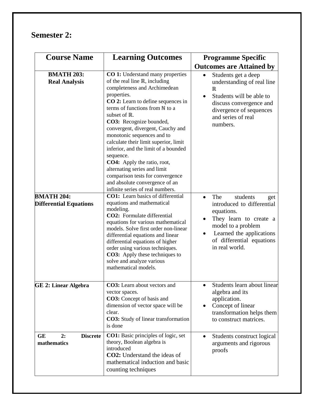#### **Semester 2:**

| <b>Course Name</b>                                 | <b>Learning Outcomes</b>                                                                                                                                                                                                                                                                                                                                                                                                                                                                                                                                                                                       | <b>Programme Specific</b>                                                                                                                                                                                               |
|----------------------------------------------------|----------------------------------------------------------------------------------------------------------------------------------------------------------------------------------------------------------------------------------------------------------------------------------------------------------------------------------------------------------------------------------------------------------------------------------------------------------------------------------------------------------------------------------------------------------------------------------------------------------------|-------------------------------------------------------------------------------------------------------------------------------------------------------------------------------------------------------------------------|
| <b>BMATH 203:</b><br><b>Real Analysis</b>          | <b>CO 1:</b> Understand many properties<br>of the real line $\mathbb{R}$ , including<br>completeness and Archimedean<br>properties.<br><b>CO 2:</b> Learn to define sequences in<br>terms of functions from N to a<br>subset of R.<br>CO3: Recognize bounded,<br>convergent, divergent, Cauchy and<br>monotonic sequences and to<br>calculate their limit superior, limit<br>inferior, and the limit of a bounded<br>sequence.<br><b>CO4:</b> Apply the ratio, root,<br>alternating series and limit<br>comparison tests for convergence<br>and absolute convergence of an<br>infinite series of real numbers. | <b>Outcomes are Attained by</b><br>Students get a deep<br>understanding of real line<br>$\mathbb R$<br>Students will be able to<br>discuss convergence and<br>divergence of sequences<br>and series of real<br>numbers. |
| <b>BMATH 204:</b><br><b>Differential Equations</b> | <b>CO1:</b> Learn basics of differential<br>equations and mathematical<br>modeling.<br>CO2: Formulate differential<br>equations for various mathematical<br>models. Solve first order non-linear<br>differential equations and linear<br>differential equations of higher<br>order using various techniques.<br><b>CO3:</b> Apply these techniques to<br>solve and analyze various<br>mathematical models.                                                                                                                                                                                                     | The<br>students<br>get<br>introduced to differential<br>equations.<br>They learn to create a<br>model to a problem<br>Learned the applications<br>$\bullet$<br>of differential equations<br>in real world.              |
| <b>GE 2: Linear Algebra</b>                        | <b>CO3:</b> Learn about vectors and<br>vector spaces.<br>CO3: Concept of basis and<br>dimension of vector space will be<br>clear.<br><b>CO3:</b> Study of linear transformation<br>is done                                                                                                                                                                                                                                                                                                                                                                                                                     | Students learn about linear<br>algebra and its<br>application.<br>Concept of linear<br>transformation helps them<br>to construct matrices.                                                                              |
| GE<br><b>Discrete</b><br>2:<br>mathematics         | <b>CO1:</b> Basic principles of logic, set<br>theory, Boolean algebra is<br>introduced<br><b>CO2:</b> Understand the ideas of<br>mathematical induction and basic<br>counting techniques                                                                                                                                                                                                                                                                                                                                                                                                                       | Students construct logical<br>$\bullet$<br>arguments and rigorous<br>proofs                                                                                                                                             |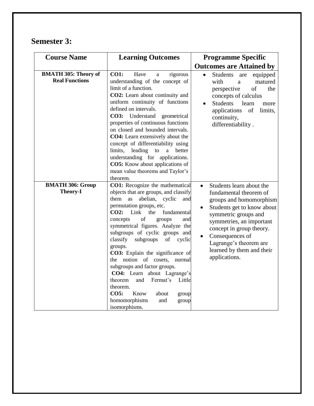#### **Semester 3:**

| <b>Course Name</b>                                   | <b>Learning Outcomes</b>                                                                                                                                                                                                                                                                                                                                                                                                                                                                                                                                                                                                                   | <b>Programme Specific</b>                                                                                                                                                                                                                                                                           |
|------------------------------------------------------|--------------------------------------------------------------------------------------------------------------------------------------------------------------------------------------------------------------------------------------------------------------------------------------------------------------------------------------------------------------------------------------------------------------------------------------------------------------------------------------------------------------------------------------------------------------------------------------------------------------------------------------------|-----------------------------------------------------------------------------------------------------------------------------------------------------------------------------------------------------------------------------------------------------------------------------------------------------|
|                                                      |                                                                                                                                                                                                                                                                                                                                                                                                                                                                                                                                                                                                                                            | <b>Outcomes are Attained by</b>                                                                                                                                                                                                                                                                     |
| <b>BMATH 305: Theory of</b><br><b>Real Functions</b> | <b>CO1:</b><br>Have<br>rigorous<br>a<br>understanding of the concept of<br>limit of a function.<br>CO2: Learn about continuity and<br>uniform continuity of functions<br>defined on intervals.<br>CO3: Understand<br>geometrical<br>properties of continuous functions<br>on closed and bounded intervals.<br><b>CO4:</b> Learn extensively about the<br>concept of differentiability using<br>leading to<br>better<br>limits,<br>a a<br>understanding for applications.<br><b>CO5:</b> Know about applications of<br>mean value theorems and Taylor's<br>theorem.                                                                         | <b>Students</b><br>equipped<br>$\bullet$<br>are<br>with<br>matured<br>a<br>of<br>perspective<br>the<br>concepts of calculus<br><b>Students</b><br>learn<br>more<br>applications<br>of<br>limits,<br>continuity,<br>differentiability.                                                               |
| <b>BMATH 306: Group</b><br><b>Theory-I</b>           | CO1: Recognize the mathematical<br>objects that are groups, and classify<br>them<br>as<br>abelian,<br>cyclic<br>and<br>permutation groups, etc.<br>CO2:<br>Link<br>fundamental<br>the<br>of<br>concepts<br>groups<br>and<br>symmetrical figures. Analyze the<br>subgroups of cyclic groups and<br>classify<br>subgroups<br>of<br>cyclic<br>groups.<br>CO3: Explain the significance of<br>notion of cosets,<br>the<br>normal<br>subgroups and factor groups.<br>CO4: Learn about Lagrange's<br>theorem<br>and<br>Fermat's<br>Little<br>theorem.<br><b>CO5:</b><br>Know<br>about<br>group<br>homomorphisms<br>and<br>group<br>isomorphisms. | Students learn about the<br>$\bullet$<br>fundamental theorem of<br>groups and homomorphism<br>Students get to know about<br>symmetric groups and<br>symmetries, an important<br>concept in group theory.<br>Consequences of<br>Lagrange's theorem are<br>learned by them and their<br>applications. |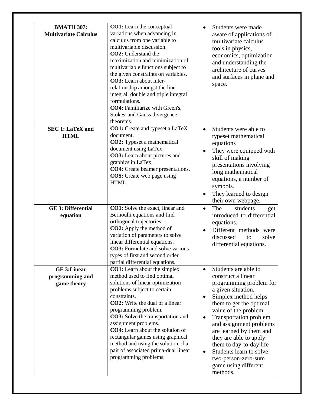| <b>BMATH 307:</b><br><b>Multivariate Calculus</b>    | <b>CO1:</b> Learn the conceptual<br>variations when advancing in<br>calculus from one variable to<br>multivariable discussion.<br>CO2: Understand the<br>maximization and minimization of<br>multivariable functions subject to<br>the given constraints on variables.<br>CO3: Learn about inter-<br>relationship amongst the line<br>integral, double and triple integral<br>formulations.<br>CO4: Familiarize with Green's,<br>Stokes' and Gauss divergence<br>theorems. | Students were made<br>aware of applications of<br>multivariate calculus<br>tools in physics,<br>economics, optimization<br>and understanding the<br>architecture of curves<br>and surfaces in plane and<br>space.                                                                                                                                                                                 |
|------------------------------------------------------|----------------------------------------------------------------------------------------------------------------------------------------------------------------------------------------------------------------------------------------------------------------------------------------------------------------------------------------------------------------------------------------------------------------------------------------------------------------------------|---------------------------------------------------------------------------------------------------------------------------------------------------------------------------------------------------------------------------------------------------------------------------------------------------------------------------------------------------------------------------------------------------|
| <b>SEC 1: LaTeX and</b><br><b>HTML</b>               | <b>CO1:</b> Create and typeset a LaTeX<br>document.<br><b>CO2:</b> Typeset a mathematical<br>document using LaTex.<br>CO3: Learn about pictures and<br>graphics in LaTex.<br>CO4: Create beamer presentations.<br><b>CO5:</b> Create web page using<br><b>HTML</b>                                                                                                                                                                                                         | Students were able to<br>typeset mathematical<br>equations<br>They were equipped with<br>skill of making<br>presentations involving<br>long mathematical<br>equations, a number of<br>symbols.<br>They learned to design<br>their own webpage.                                                                                                                                                    |
| <b>GE 3: Differential</b><br>equation                | <b>CO1:</b> Solve the exact, linear and<br>Bernoulli equations and find<br>orthogonal trajectories.<br><b>CO2:</b> Apply the method of<br>variation of parameters to solve<br>linear differential equations.<br><b>CO3:</b> Formulate and solve various<br>types of first and second order<br>partial differential equations.                                                                                                                                              | The<br>students<br>get<br>introduced to differential<br>equations.<br>Different methods were<br>discussed<br>solve<br>to<br>differential equations.                                                                                                                                                                                                                                               |
| <b>GE 3:Linear</b><br>programming and<br>game theory | <b>CO1:</b> Learn about the simplex<br>method used to find optimal<br>solutions of linear optimization<br>problems subject to certain<br>constraints.<br><b>CO2:</b> Write the dual of a linear<br>programming problem.<br>CO3: Solve the transportation and<br>assignment problems.<br>CO4: Learn about the solution of<br>rectangular games using graphical<br>method and using the solution of a<br>pair of associated prima-dual linear<br>programming problems.       | Students are able to<br>construct a linear<br>programming problem for<br>a given situation.<br>Simplex method helps<br>them to get the optimal<br>value of the problem<br>Transportation problem<br>and assignment problems<br>are learned by them and<br>they are able to apply<br>them to day-to-day life<br>Students learn to solve<br>two-person-zero-sum<br>game using different<br>methods. |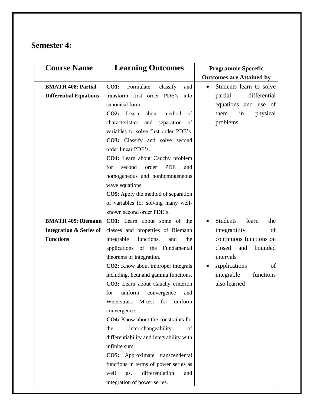#### **Semester 4:**

| <b>Course Name</b>                 | <b>Learning Outcomes</b>                     | <b>Programme Specefic</b>       |
|------------------------------------|----------------------------------------------|---------------------------------|
|                                    |                                              | <b>Outcomes are Attained by</b> |
| <b>BMATH 408: Partial</b>          | <b>CO1:</b><br>Formulate,<br>classify<br>and | Students learn to solve         |
| <b>Differential Equations</b>      | transform first order PDE's into             | differential<br>partial         |
|                                    | canonical form.                              | equations and use of            |
|                                    | CO2: Learn<br>about<br>method<br>of          | them<br>in<br>physical          |
|                                    | characteristics<br>and separation<br>of      | problems                        |
|                                    | variables to solve first order PDE's.        |                                 |
|                                    | CO3: Classify and solve second               |                                 |
|                                    | order linear PDE's.                          |                                 |
|                                    | CO4: Learn about Cauchy problem              |                                 |
|                                    | <b>PDE</b><br>second<br>order<br>for<br>and  |                                 |
|                                    | homogeneous and nonhomogeneous               |                                 |
|                                    | wave equations.                              |                                 |
|                                    | <b>CO5</b> : Apply the method of separation  |                                 |
|                                    | of variables for solving many well-          |                                 |
|                                    | known second order PDE's.                    |                                 |
| <b>BMATH 409: Riemann</b>          | <b>CO1:</b> Learn about some of the          | <b>Students</b><br>the<br>learn |
| <b>Integration &amp; Series of</b> | classes and properties of Riemann            | integrability<br>of             |
| <b>Functions</b>                   | integrable<br>functions,<br>and<br>the       | continuous functions on         |
|                                    | applications of the Fundamental              | closed<br>bounded<br>and        |
|                                    | theorems of integration.                     | intervals                       |
|                                    | CO2: Know about improper integrals           | Applications<br>of              |
|                                    | including, beta and gamma functions.         | functions<br>integrable         |
|                                    | CO3: Learn about Cauchy criterion            | also learned                    |
|                                    | for uniform convergence and                  |                                 |
|                                    | M-test<br>for<br>uniform<br>Weierstrass      |                                 |
|                                    | convergence.                                 |                                 |
|                                    | <b>CO4:</b> Know about the constraints for   |                                 |
|                                    | inter-changeability<br>of<br>the             |                                 |
|                                    | differentiability and integrability with     |                                 |
|                                    | infinite sum.                                |                                 |
|                                    | CO5: Approximate transcendental              |                                 |
|                                    | functions in terms of power series as        |                                 |
|                                    | differentiation<br>well<br>as,<br>and        |                                 |
|                                    | integration of power series.                 |                                 |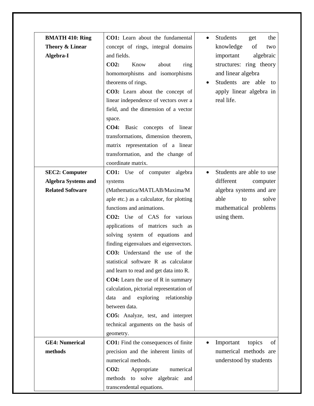| <b>BMATH 410: Ring</b>     | CO1: Learn about the fundamental            | Students<br>get<br>the<br>$\bullet$ |
|----------------------------|---------------------------------------------|-------------------------------------|
| Theory & Linear            | concept of rings, integral domains          | knowledge<br>of<br>two              |
| Algebra-I                  | and fields.                                 | algebraic<br>important              |
|                            | CO2:<br>Know<br>about<br>ring               | structures: ring theory             |
|                            | homomorphisms and isomorphisms              | and linear algebra                  |
|                            | theorems of rings.                          | Students are able to                |
|                            | CO3: Learn about the concept of             | apply linear algebra in             |
|                            | linear independence of vectors over a       | real life.                          |
|                            | field, and the dimension of a vector        |                                     |
|                            | space.                                      |                                     |
|                            | CO4: Basic concepts of linear               |                                     |
|                            | transformations, dimension theorem,         |                                     |
|                            | matrix representation of a linear           |                                     |
|                            | transformation, and the change of           |                                     |
|                            | coordinate matrix.                          |                                     |
| <b>SEC2: Computer</b>      | <b>CO1:</b> Use of computer algebra         | Students are able to use            |
| <b>Algebra Systems and</b> | systems                                     | different<br>computer               |
| <b>Related Software</b>    | (Mathematica/MATLAB/Maxima/M                | algebra systems and are             |
|                            | aple etc.) as a calculator, for plotting    | able<br>solve<br>to                 |
|                            | functions and animations.                   | mathematical problems               |
|                            | CO2: Use of CAS for various                 | using them.                         |
|                            | applications of matrices such as            |                                     |
|                            | solving system of equations and             |                                     |
|                            | finding eigenvalues and eigenvectors.       |                                     |
|                            | CO3: Understand the use of the              |                                     |
|                            | statistical software R as calculator        |                                     |
|                            | and learn to read and get data into R.      |                                     |
|                            | <b>CO4:</b> Learn the use of R in summary   |                                     |
|                            | calculation, pictorial representation of    |                                     |
|                            | and exploring relationship<br>data          |                                     |
|                            | between data.                               |                                     |
|                            | CO5: Analyze, test, and interpret           |                                     |
|                            | technical arguments on the basis of         |                                     |
|                            | geometry.                                   |                                     |
| <b>GE4: Numerical</b>      | <b>CO1:</b> Find the consequences of finite | Important<br>topics<br>of           |
| methods                    | precision and the inherent limits of        | numerical methods are               |
|                            | numerical methods.                          | understood by students              |
|                            | CO2:<br>Appropriate<br>numerical            |                                     |
|                            | methods to solve algebraic and              |                                     |
|                            | transcendental equations.                   |                                     |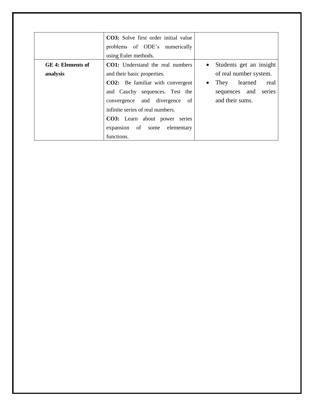|                   | <b>CO3</b> : Solve first order initial value |                         |
|-------------------|----------------------------------------------|-------------------------|
|                   | problems of ODE's numerically                |                         |
|                   | using Euler methods.                         |                         |
| GE 4: Elements of | <b>CO1:</b> Understand the real numbers      | Students get an insight |
| analysis          | and their basic properties.                  | of real number system.  |
|                   | <b>CO2:</b> Be familiar with convergent      | learned<br>They<br>real |
|                   | and Cauchy sequences. Test the               | sequences and<br>series |
|                   | divergence of<br>convergence and             | and their sums.         |
|                   | infinite series of real numbers.             |                         |
|                   | <b>CO3:</b> Learn about power series         |                         |
|                   | expansion of some<br>elementary              |                         |
|                   | functions.                                   |                         |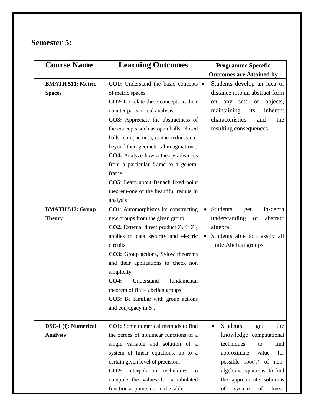## **Semester 5:**

| <b>Course Name</b>       | <b>Learning Outcomes</b>                             | <b>Programme Specefic</b>                  |
|--------------------------|------------------------------------------------------|--------------------------------------------|
|                          |                                                      | <b>Outcomes are Attained by</b>            |
| <b>BMATH 511: Metric</b> | CO1: Understand the basic concepts                   | Students develop an idea of<br>$\bullet$   |
| <b>Spaces</b>            | of metric spaces                                     | distance into an abstract form             |
|                          | CO2: Correlate these concepts to their               | any sets of objects,<br>on                 |
|                          | counter parts in real analysis                       | maintaining<br>inherent<br>its             |
|                          | CO3: Appreciate the abstractness of                  | characteristics<br>the<br>and              |
|                          | the concepts such as open balls, closed              | resulting consequences                     |
|                          | balls, compactness, connectedness etc.               |                                            |
|                          | beyond their geometrical imaginations.               |                                            |
|                          | <b>CO4:</b> Analyze how a theory advances            |                                            |
|                          | from a particular frame to a general                 |                                            |
|                          | frame                                                |                                            |
|                          | <b>CO5</b> : Learn about Banach fixed point          |                                            |
|                          | theorem-one of the beautiful results in              |                                            |
|                          | analysis                                             |                                            |
| <b>BMATH 512: Group</b>  | <b>CO1</b> : Automorphisms for constructing          | Students<br>in-depth<br>get<br>$\bullet$   |
| <b>Theory</b>            | new groups from the given group                      | understanding<br>abstract<br>of            |
|                          | <b>CO2:</b> External direct product $Z_2 \oplus Z_2$ | algebra.                                   |
|                          | applies to data security and electric                | Students able to classify all              |
|                          | circuits.                                            | finite Abelian groups.                     |
|                          | <b>CO3:</b> Group actions, Sylow theorems            |                                            |
|                          | and their applications to check non                  |                                            |
|                          | simplicity.                                          |                                            |
|                          | <b>CO4:</b><br>Understand<br>fundamental             |                                            |
|                          | theorem of finite abelian groups                     |                                            |
|                          | CO5: Be familiar with group actions                  |                                            |
|                          | and conjugacy in $S_n$ .                             |                                            |
|                          |                                                      |                                            |
| DSE-1 (i): Numerical     | <b>CO1:</b> Some numerical methods to find           | <b>Students</b><br>the<br>get<br>$\bullet$ |
| <b>Analysis</b>          | the zeroes of nonlinear functions of a               | knowledge computational                    |
|                          | single variable and solution of a                    | techniques<br>find<br>to                   |
|                          | system of linear equations, up to a                  | approximate<br>value<br>for                |
|                          | certain given level of precision.                    | possible $root(s)$ of non-                 |
|                          | <b>CO2:</b> Interpolation techniques<br>to           | algebraic equations, to find               |
|                          | compute the values for a tabulated                   | the approximate solutions                  |
|                          | function at points not in the table.                 | of<br>of<br>linear<br>system               |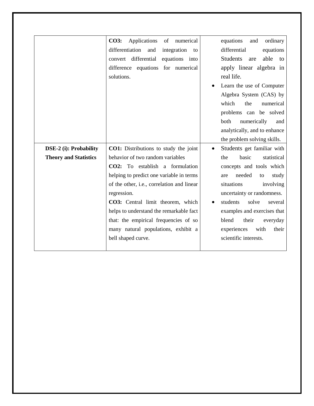|                               | Applications<br><b>CO3:</b><br>of<br>numerical | equations<br>ordinary<br>and            |
|-------------------------------|------------------------------------------------|-----------------------------------------|
|                               | differentiation<br>and<br>integration<br>to    | differential<br>equations               |
|                               | convert differential<br>equations into         | <b>Students</b><br>able<br>are<br>to    |
|                               | difference equations for numerical             | apply linear algebra in                 |
|                               | solutions.                                     | real life.                              |
|                               |                                                | Learn the use of Computer               |
|                               |                                                | Algebra System (CAS) by                 |
|                               |                                                | which<br>the<br>numerical               |
|                               |                                                | problems can be solved                  |
|                               |                                                | both<br>numerically<br>and              |
|                               |                                                | analytically, and to enhance            |
|                               |                                                | the problem solving skills.             |
| <b>DSE-2</b> (i): Probability | <b>CO1:</b> Distributions to study the joint   | Students get familiar with<br>$\bullet$ |
| <b>Theory and Statistics</b>  | behavior of two random variables               | statistical<br>basic<br>the             |
|                               | CO2: To establish a formulation                |                                         |
|                               |                                                | concepts and tools which                |
|                               | helping to predict one variable in terms       | needed<br>study<br>to<br>are            |
|                               | of the other, i.e., correlation and linear     | situations<br>involving                 |
|                               | regression.                                    | uncertainty or randomness.              |
|                               | CO3: Central limit theorem, which              | students<br>solve<br>several            |
|                               | helps to understand the remarkable fact        | examples and exercises that             |
|                               | that: the empirical frequencies of so          | blend<br>their<br>everyday              |
|                               | many natural populations, exhibit a            | experiences<br>with<br>their            |
|                               | bell shaped curve.                             | scientific interests.                   |
|                               |                                                |                                         |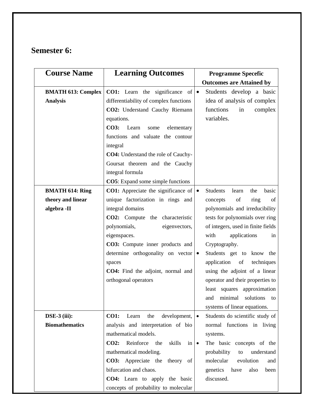### **Semester 6:**

| <b>Course Name</b>               | <b>Learning Outcomes</b>                         | <b>Programme Specefic</b>                             |
|----------------------------------|--------------------------------------------------|-------------------------------------------------------|
|                                  |                                                  | <b>Outcomes are Attained by</b>                       |
| <b>BMATH 613: Complex</b>        | <b>CO1:</b> Learn the significance of            | Students develop a basic<br>$\bullet$                 |
| <b>Analysis</b>                  | differentiability of complex functions           | idea of analysis of complex                           |
|                                  | CO2: Understand Cauchy Riemann                   | functions<br>complex<br>in                            |
|                                  | equations.                                       | variables.                                            |
|                                  | <b>CO3:</b><br>Learn<br>elementary<br>some       |                                                       |
|                                  | functions and valuate the contour                |                                                       |
|                                  | integral                                         |                                                       |
|                                  | <b>CO4:</b> Understand the role of Cauchy-       |                                                       |
|                                  | Goursat theorem and the Cauchy                   |                                                       |
|                                  | integral formula                                 |                                                       |
|                                  | <b>CO5</b> : Expand some simple functions        |                                                       |
| <b>BMATH 614: Ring</b>           | <b>CO1:</b> Appreciate the significance of       | <b>Students</b><br>learn<br>the<br>basic<br>$\bullet$ |
| theory and linear                | unique factorization in rings and                | of<br>ring<br>of<br>concepts                          |
| algebra -II                      | integral domains                                 | polynomials and irreducibility                        |
|                                  | CO2: Compute the characteristic                  | tests for polynomials over ring                       |
|                                  | polynomials,<br>eigenvectors,                    | of integers, used in finite fields                    |
|                                  | eigenspaces.                                     | with<br>applications<br>in                            |
|                                  | CO3: Compute inner products and                  | Cryptography.                                         |
|                                  | determine orthogonality on vector $\bullet$      | Students get to know the                              |
|                                  | spaces                                           | techniques<br>application<br>of                       |
|                                  | CO4: Find the adjoint, normal and                | using the adjoint of a linear                         |
|                                  | orthogonal operators                             | operator and their properties to                      |
|                                  |                                                  | least squares approximation                           |
|                                  |                                                  | and minimal solutions to                              |
|                                  |                                                  | systems of linear equations.                          |
| $\overline{\text{DSE-3}}$ (iii): | <b>CO1:</b><br>the<br>development,<br>Learn      | Students do scientific study of<br>$\bullet$          |
| <b>Biomathematics</b>            | analysis and interpretation of bio               | normal functions in living                            |
|                                  | mathematical models.                             | systems.                                              |
|                                  | Reinforce<br>CO2:<br>skills<br>the<br>$in \cdot$ | The basic concepts of the                             |
|                                  | mathematical modeling.                           | probability<br>understand<br>to                       |
|                                  | <b>CO3:</b> Appreciate the<br>theory<br>of       | molecular<br>evolution<br>and                         |
|                                  | bifurcation and chaos.                           | genetics<br>have<br>also<br>been                      |
|                                  | CO4: Learn to apply the basic                    | discussed.                                            |
|                                  | concepts of probability to molecular             |                                                       |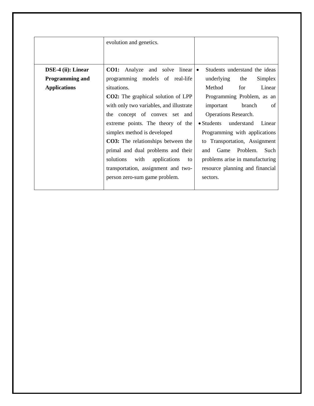|                        | evolution and genetics.                        |                                 |
|------------------------|------------------------------------------------|---------------------------------|
| DSE-4 (ii): Linear     | <b>CO1:</b> Analyze and solve linear $\bullet$ | Students understand the ideas   |
| <b>Programming and</b> | programming models of real-life                | underlying<br>Simplex<br>the    |
| <b>Applications</b>    | situations.                                    | Method<br>Linear<br>for         |
|                        | <b>CO2:</b> The graphical solution of LPP      | Programming Problem, as an      |
|                        | with only two variables, and illustrate        | branch<br>important<br>of       |
|                        | the concept of convex set and                  | Operations Research.            |
|                        | extreme points. The theory of the              | • Students understand<br>Linear |
|                        | simplex method is developed                    | Programming with applications   |
|                        | <b>CO3:</b> The relationships between the      | to Transportation, Assignment   |
|                        | primal and dual problems and their             | Problem.<br>Such<br>Game<br>and |
|                        | solutions<br>with<br>applications<br>to        | problems arise in manufacturing |
|                        | transportation, assignment and two-            | resource planning and financial |
|                        | person zero-sum game problem.                  | sectors.                        |
|                        |                                                |                                 |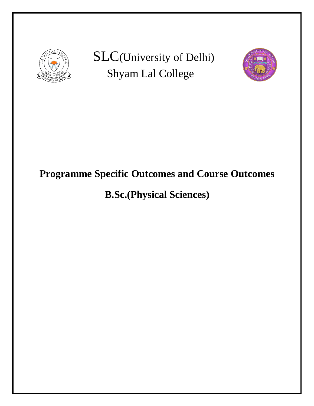

SLC(University of Delhi) Shyam Lal College



# **Programme Specific Outcomes and Course Outcomes**

# **B.Sc.(Physical Sciences)**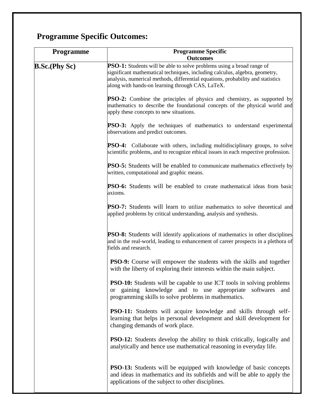# **Programme Specific Outcomes:**

| <b>Programme</b>     | <b>Programme Specific</b><br><b>Outcomes</b>                                                                                                                                                                                                                                                       |  |
|----------------------|----------------------------------------------------------------------------------------------------------------------------------------------------------------------------------------------------------------------------------------------------------------------------------------------------|--|
| <b>B.Sc.(Phy Sc)</b> | <b>PSO-1:</b> Students will be able to solve problems using a broad range of<br>significant mathematical techniques, including calculus, algebra, geometry,<br>analysis, numerical methods, differential equations, probability and statistics<br>along with hands-on learning through CAS, LaTeX. |  |
|                      | <b>PSO-2:</b> Combine the principles of physics and chemistry, as supported by<br>mathematics to describe the foundational concepts of the physical world and<br>apply these concepts to new situations.                                                                                           |  |
|                      | <b>PSO-3:</b> Apply the techniques of mathematics to understand experimental<br>observations and predict outcomes.                                                                                                                                                                                 |  |
|                      | <b>PSO-4:</b> Collaborate with others, including multidisciplinary groups, to solve<br>scientific problems, and to recognize ethical issues in each respective profession.                                                                                                                         |  |
|                      | <b>PSO-5:</b> Students will be enabled to communicate mathematics effectively by<br>written, computational and graphic means.                                                                                                                                                                      |  |
|                      | PSO-6: Students will be enabled to create mathematical ideas from basic<br>axioms.                                                                                                                                                                                                                 |  |
|                      | <b>PSO-7:</b> Students will learn to utilize mathematics to solve theoretical and<br>applied problems by critical understanding, analysis and synthesis.                                                                                                                                           |  |
|                      | <b>PSO-8:</b> Students will identify applications of mathematics in other disciplines<br>and in the real-world, leading to enhancement of career prospects in a plethora of<br>fields and research.                                                                                                |  |
|                      | <b>PSO-9:</b> Course will empower the students with the skills and together<br>with the liberty of exploring their interests within the main subject.                                                                                                                                              |  |
|                      | <b>PSO-10:</b> Students will be capable to use ICT tools in solving problems<br>gaining knowledge and to use appropriate<br>softwares<br>and<br><b>or</b><br>programming skills to solve problems in mathematics.                                                                                  |  |
|                      | <b>PSO-11:</b> Students will acquire knowledge and skills through self-<br>learning that helps in personal development and skill development for<br>changing demands of work place.                                                                                                                |  |
|                      | <b>PSO-12:</b> Students develop the ability to think critically, logically and<br>analytically and hence use mathematical reasoning in everyday life.                                                                                                                                              |  |
|                      | <b>PSO-13:</b> Students will be equipped with knowledge of basic concepts<br>and ideas in mathematics and its subfields and will be able to apply the<br>applications of the subject to other disciplines.                                                                                         |  |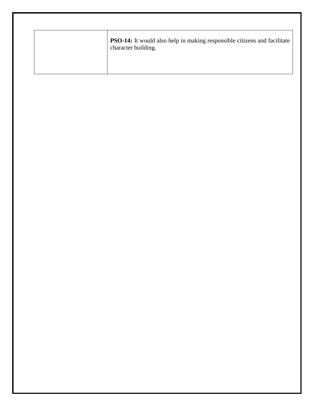| <b>PSO-14:</b> It would also help in making responsible citizens and facilitate<br>character building. |
|--------------------------------------------------------------------------------------------------------|
|                                                                                                        |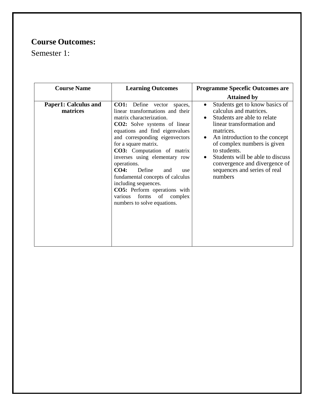## **Course Outcomes:**

Semester 1:

| <b>Course Name</b>               | <b>Learning Outcomes</b>                                                                                                                                                                                                                                                                                                                                                                                                                                                                                                        | <b>Programme Specefic Outcomes are</b>                                                                                                                                                                                                                                                                                                                                    |
|----------------------------------|---------------------------------------------------------------------------------------------------------------------------------------------------------------------------------------------------------------------------------------------------------------------------------------------------------------------------------------------------------------------------------------------------------------------------------------------------------------------------------------------------------------------------------|---------------------------------------------------------------------------------------------------------------------------------------------------------------------------------------------------------------------------------------------------------------------------------------------------------------------------------------------------------------------------|
|                                  |                                                                                                                                                                                                                                                                                                                                                                                                                                                                                                                                 | <b>Attained by</b>                                                                                                                                                                                                                                                                                                                                                        |
| Paper1: Calculus and<br>matrices | <b>CO1:</b> Define<br>vector<br>spaces,<br>linear transformations and their<br>matrix characterization.<br><b>CO2:</b> Solve systems of linear<br>equations and find eigenvalues<br>and corresponding eigenvectors<br>for a square matrix.<br>CO3: Computation of matrix<br>inverses using elementary row<br>operations.<br>Define<br>CO4:<br>and<br>use<br>fundamental concepts of calculus<br>including sequences.<br><b>CO5:</b> Perform operations with<br>forms<br>of<br>complex<br>various<br>numbers to solve equations. | Students get to know basics of<br>$\bullet$<br>calculus and matrices.<br>Students are able to relate<br>linear transformation and<br>matrices.<br>An introduction to the concept<br>$\bullet$<br>of complex numbers is given<br>to students.<br>Students will be able to discuss<br>$\bullet$<br>convergence and divergence of<br>sequences and series of real<br>numbers |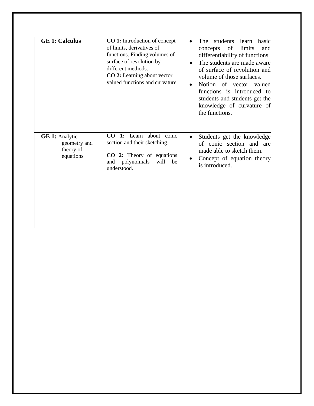| <b>GE 1: Calculus</b>                                           | <b>CO</b> 1: Introduction of concept<br>of limits, derivatives of<br>functions. Finding volumes of<br>surface of revolution by<br>different methods.<br>CO 2: Learning about vector<br>valued functions and curvature | students learn<br>The<br>basic<br>$\bullet$<br>of<br>limits<br>concepts<br>and<br>differentiability of functions<br>The students are made aware<br>of surface of revolution and<br>volume of those surfaces.<br>Notion of vector valued<br>$\bullet$<br>functions is introduced to<br>students and students get the<br>knowledge of curvature of<br>the functions. |
|-----------------------------------------------------------------|-----------------------------------------------------------------------------------------------------------------------------------------------------------------------------------------------------------------------|--------------------------------------------------------------------------------------------------------------------------------------------------------------------------------------------------------------------------------------------------------------------------------------------------------------------------------------------------------------------|
| <b>GE 1:</b> Analytic<br>geometry and<br>theory of<br>equations | CO 1: Learn about conic<br>section and their sketching.<br>CO 2: Theory of equations<br>polynomials<br>will<br>and<br>be<br>understood.                                                                               | Students get the knowledge<br>of conic section and are<br>made able to sketch them.<br>Concept of equation theory<br>is introduced.                                                                                                                                                                                                                                |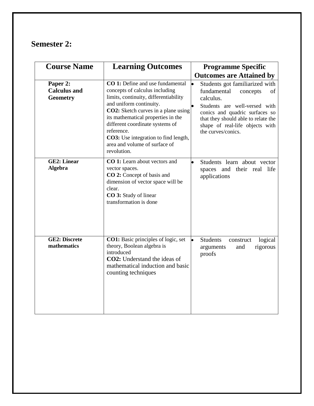#### **Semester 2:**

| <b>Course Name</b>                                 | <b>Learning Outcomes</b>                                                                                                                                                                                                                                                                                                                                                          | <b>Programme Specific</b>                                                                                                                                                                                                                                    |
|----------------------------------------------------|-----------------------------------------------------------------------------------------------------------------------------------------------------------------------------------------------------------------------------------------------------------------------------------------------------------------------------------------------------------------------------------|--------------------------------------------------------------------------------------------------------------------------------------------------------------------------------------------------------------------------------------------------------------|
|                                                    |                                                                                                                                                                                                                                                                                                                                                                                   | <b>Outcomes are Attained by</b>                                                                                                                                                                                                                              |
| Paper 2:<br><b>Calculus and</b><br><b>Geometry</b> | <b>CO</b> 1: Define and use fundamental<br>concepts of calculus including<br>limits, continuity, differentiability<br>and uniform continuity.<br><b>CO2:</b> Sketch curves in a plane using<br>its mathematical properties in the<br>different coordinate systems of<br>reference.<br><b>CO3:</b> Use integration to find length,<br>area and volume of surface of<br>revolution. | $\bullet$<br>Students got familiarized with<br>fundamental<br>concepts<br>of<br>calculus.<br>Students are well-versed with<br>conics and quadric surfaces so<br>that they should able to relate the<br>shape of real-life objects with<br>the curves/conics. |
| <b>GE2: Linear</b><br>Algebra                      | <b>CO</b> 1: Learn about vectors and<br>vector spaces.<br>CO 2: Concept of basis and<br>dimension of vector space will be<br>clear.<br>CO 3: Study of linear<br>transformation is done                                                                                                                                                                                            | Students learn about vector<br>spaces and their real life<br>applications                                                                                                                                                                                    |
| <b>GE2</b> : Discrete<br>mathematics               | <b>CO1:</b> Basic principles of logic, set<br>theory, Boolean algebra is<br>introduced<br><b>CO2</b> : Understand the ideas of<br>mathematical induction and basic<br>counting techniques                                                                                                                                                                                         | <b>Students</b><br>construct<br>logical<br>rigorous<br>arguments<br>and<br>proofs                                                                                                                                                                            |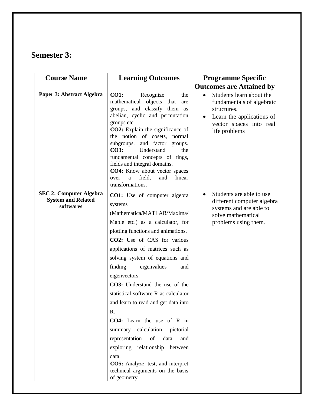#### **Semester 3:**

| <b>Course Name</b>                                                       | <b>Learning Outcomes</b>                                                                                                                                                                                                                                                                                                                                                                                                                                                                                                                                                                                                                                                          | <b>Programme Specific</b>                                                                                                                                               |
|--------------------------------------------------------------------------|-----------------------------------------------------------------------------------------------------------------------------------------------------------------------------------------------------------------------------------------------------------------------------------------------------------------------------------------------------------------------------------------------------------------------------------------------------------------------------------------------------------------------------------------------------------------------------------------------------------------------------------------------------------------------------------|-------------------------------------------------------------------------------------------------------------------------------------------------------------------------|
|                                                                          |                                                                                                                                                                                                                                                                                                                                                                                                                                                                                                                                                                                                                                                                                   | <b>Outcomes are Attained by</b>                                                                                                                                         |
| Paper 3: Abstract Algebra                                                | <b>CO1:</b><br>Recognize<br>the<br>mathematical objects that<br>are<br>groups, and classify them as<br>abelian, cyclic and permutation<br>groups etc.<br>CO2: Explain the significance of<br>the notion of cosets, normal<br>subgroups, and factor groups.<br>Understand<br><b>CO3:</b><br>the<br>fundamental concepts of rings,<br>fields and integral domains.<br>CO4: Know about vector spaces<br>field,<br>and<br>linear<br>over<br>a<br>transformations.                                                                                                                                                                                                                     | Students learn about the<br>$\bullet$<br>fundamentals of algebraic<br>structures.<br>Learn the applications of<br>$\bullet$<br>vector spaces into real<br>life problems |
| <b>SEC 2: Computer Algebra</b><br><b>System and Related</b><br>softwares | CO1: Use of computer algebra<br>systems<br>(Mathematica/MATLAB/Maxima/<br>Maple etc.) as a calculator, for<br>plotting functions and animations.<br>CO2: Use of CAS for various<br>applications of matrices such as<br>solving system of equations and<br>finding<br>eigenvalues<br>and<br>eigenvectors.<br>CO3: Understand the use of the<br>statistical software R as calculator<br>and learn to read and get data into<br>R.<br>CO4: Learn the use of R in<br>summary calculation, pictorial<br>representation<br>of<br>data<br>and<br>exploring relationship between<br>data.<br><b>CO5:</b> Analyze, test, and interpret<br>technical arguments on the basis<br>of geometry. | Students are able to use<br>different computer algebra<br>systems and are able to<br>solve mathematical<br>problems using them.                                         |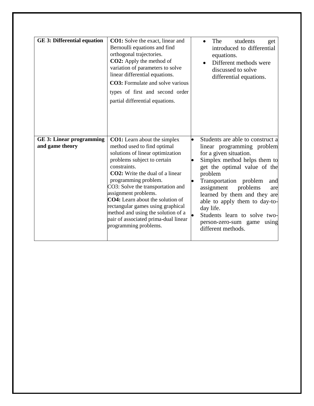| <b>GE 3: Differential equation</b>                 | <b>CO1:</b> Solve the exact, linear and<br>Bernoulli equations and find<br>orthogonal trajectories.<br><b>CO2:</b> Apply the method of<br>variation of parameters to solve<br>linear differential equations.<br><b>CO3:</b> Formulate and solve various<br>types of first and second order<br>partial differential equations.                                                                                                                                                | The<br>students<br>get<br>introduced to differential<br>equations.<br>Different methods were<br>discussed to solve<br>differential equations.                                                                                                                                                                                                                                                                                        |
|----------------------------------------------------|------------------------------------------------------------------------------------------------------------------------------------------------------------------------------------------------------------------------------------------------------------------------------------------------------------------------------------------------------------------------------------------------------------------------------------------------------------------------------|--------------------------------------------------------------------------------------------------------------------------------------------------------------------------------------------------------------------------------------------------------------------------------------------------------------------------------------------------------------------------------------------------------------------------------------|
| <b>GE 3: Linear programming</b><br>and game theory | <b>CO1:</b> Learn about the simplex<br>method used to find optimal<br>solutions of linear optimization<br>problems subject to certain<br>constraints.<br><b>CO2</b> : Write the dual of a linear<br>programming problem.<br>CO3: Solve the transportation and<br>assignment problems.<br><b>CO4:</b> Learn about the solution of<br>rectangular games using graphical<br>method and using the solution of a<br>pair of associated prima-dual linear<br>programming problems. | Students are able to construct a<br>$\bullet$<br>linear programming problem<br>for a given situation.<br>Simplex method helps them to<br>get the optimal value of the<br>problem<br>Transportation problem<br>and<br>$\bullet$<br>assignment<br>problems<br>are<br>learned by them and they are<br>able to apply them to day-to-<br>day life.<br>Students learn to solve two-<br>person-zero-sum game<br>using<br>different methods. |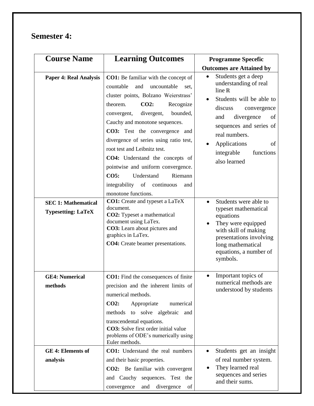#### **Semester 4:**

| <b>Course Name</b>                                                                       | <b>Learning Outcomes</b>                                                                                                                                                                                                                                                                                                                                                                                                                                                                                                                                                                                                                                                            | <b>Programme Specefic</b>                                                                                                                                                                                                                                                                                                                                                               |
|------------------------------------------------------------------------------------------|-------------------------------------------------------------------------------------------------------------------------------------------------------------------------------------------------------------------------------------------------------------------------------------------------------------------------------------------------------------------------------------------------------------------------------------------------------------------------------------------------------------------------------------------------------------------------------------------------------------------------------------------------------------------------------------|-----------------------------------------------------------------------------------------------------------------------------------------------------------------------------------------------------------------------------------------------------------------------------------------------------------------------------------------------------------------------------------------|
|                                                                                          |                                                                                                                                                                                                                                                                                                                                                                                                                                                                                                                                                                                                                                                                                     | <b>Outcomes are Attained by</b>                                                                                                                                                                                                                                                                                                                                                         |
| <b>Paper 4: Real Analysis</b><br><b>SEC 1: Mathematical</b><br><b>Typesetting: LaTeX</b> | CO1: Be familiar with the concept of<br>countable<br>and<br>uncountable<br>set.<br>cluster points, Bolzano Weierstrass'<br><b>CO2:</b><br>theorem.<br>Recognize<br>divergent,<br>bounded,<br>convergent,<br>Cauchy and monotone sequences.<br>CO3: Test the convergence and<br>divergence of series using ratio test,<br>root test and Leibnitz test.<br>CO4: Understand the concepts of<br>pointwise and uniform convergence.<br>CO5:<br>Understand<br>Riemann<br>integrability of continuous<br>and<br>monotone functions.<br><b>CO1:</b> Create and typeset a LaTeX<br>document.<br><b>CO2:</b> Typeset a mathematical<br>document using LaTex.<br>CO3: Learn about pictures and | Students get a deep<br>understanding of real<br>line $\mathbb R$<br>Students will be able to<br>discuss<br>convergence<br>divergence<br>of<br>and<br>sequences and series of<br>real numbers.<br>Applications<br>of<br>functions<br>integrable<br>also learned<br>Students were able to<br>$\bullet$<br>typeset mathematical<br>equations<br>They were equipped<br>with skill of making |
| <b>GE4: Numerical</b><br>methods                                                         | graphics in LaTex.<br>CO4: Create beamer presentations.<br><b>CO1:</b> Find the consequences of finite<br>precision and the inherent limits of<br>numerical methods.                                                                                                                                                                                                                                                                                                                                                                                                                                                                                                                | presentations involving<br>long mathematical<br>equations, a number of<br>symbols.<br>Important topics of<br>numerical methods are<br>understood by students                                                                                                                                                                                                                            |
|                                                                                          | CO2:<br>numerical<br>Appropriate<br>to solve algebraic and<br>methods<br>transcendental equations.<br>CO3: Solve first order initial value<br>problems of ODE's numerically using<br>Euler methods.                                                                                                                                                                                                                                                                                                                                                                                                                                                                                 |                                                                                                                                                                                                                                                                                                                                                                                         |
| <b>GE 4: Elements of</b>                                                                 | <b>CO1:</b> Understand the real numbers                                                                                                                                                                                                                                                                                                                                                                                                                                                                                                                                                                                                                                             | Students get an insight                                                                                                                                                                                                                                                                                                                                                                 |
| analysis                                                                                 | and their basic properties.                                                                                                                                                                                                                                                                                                                                                                                                                                                                                                                                                                                                                                                         | of real number system.                                                                                                                                                                                                                                                                                                                                                                  |
|                                                                                          | <b>CO2:</b> Be familiar with convergent<br>and Cauchy sequences. Test the<br>divergence<br>and<br>of<br>convergence                                                                                                                                                                                                                                                                                                                                                                                                                                                                                                                                                                 | They learned real<br>sequences and series<br>and their sums.                                                                                                                                                                                                                                                                                                                            |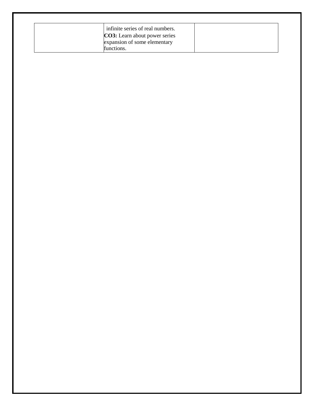| infinite series of real numbers.      |  |
|---------------------------------------|--|
| <b>CO3</b> : Learn about power series |  |
| expansion of some elementary          |  |
| functions.                            |  |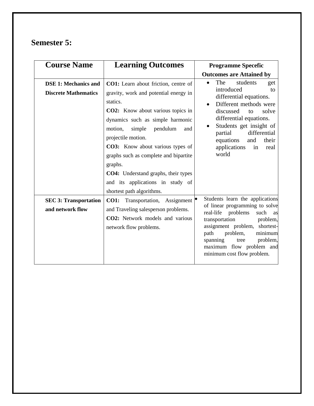## **Semester 5:**

| <b>Course Name</b>                                         | <b>Learning Outcomes</b>                                                                                                                                                                                                                                                                                                                                                                                                                              | <b>Programme Specefic</b>                                                                                                                                                                                                                                                                     |
|------------------------------------------------------------|-------------------------------------------------------------------------------------------------------------------------------------------------------------------------------------------------------------------------------------------------------------------------------------------------------------------------------------------------------------------------------------------------------------------------------------------------------|-----------------------------------------------------------------------------------------------------------------------------------------------------------------------------------------------------------------------------------------------------------------------------------------------|
|                                                            |                                                                                                                                                                                                                                                                                                                                                                                                                                                       | <b>Outcomes are Attained by</b>                                                                                                                                                                                                                                                               |
| <b>DSE 1: Mechanics and</b><br><b>Discrete Mathematics</b> | <b>CO1:</b> Learn about friction, centre of<br>gravity, work and potential energy in<br>statics.<br><b>CO2:</b> Know about various topics in<br>dynamics such as simple harmonic<br>motion,<br>simple<br>pendulum<br>and<br>projectile motion.<br>CO3: Know about various types of<br>graphs such as complete and bipartite<br>graphs.<br><b>CO4:</b> Understand graphs, their types<br>and its applications in study of<br>shortest path algorithms. | The<br>students<br>$\bullet$<br>get<br>introduced<br>to<br>differential equations.<br>Different methods were<br>discussed<br>solve<br>to<br>differential equations.<br>Students get insight of<br>differential<br>partial<br>equations<br>and<br>their<br>applications<br>in<br>real<br>world |
| <b>SEC 3: Transportation</b><br>and network flow           | <b>CO1:</b> Transportation, Assignment<br>and Traveling salesperson problems.<br>CO2: Network models and various<br>network flow problems.                                                                                                                                                                                                                                                                                                            | Students learn the applications<br>of linear programming to solve<br>real-life problems<br>such<br>as<br>transportation<br>problem,<br>assignment problem, shortest-<br>problem,<br>minimum<br>path<br>problem,<br>spanning<br>tree<br>maximum flow problem and<br>minimum cost flow problem. |